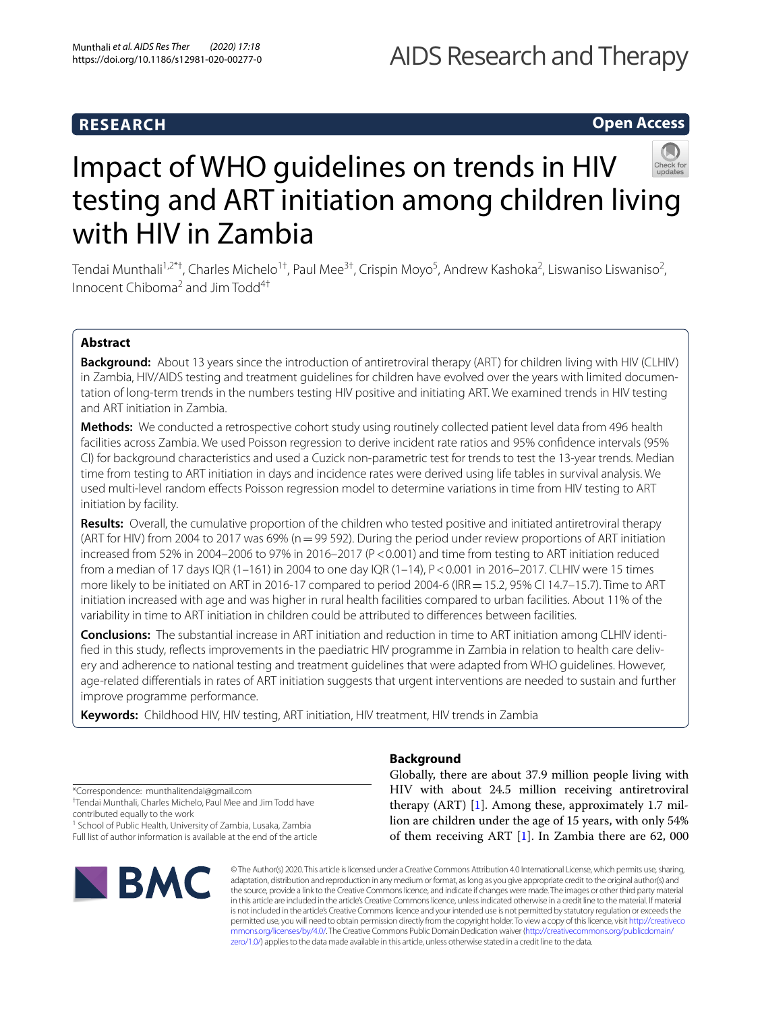# AIDS Research and Therapy

# **Open Access**



# Impact of WHO guidelines on trends in HIV testing and ART initiation among children living with HIV in Zambia

Tendai Munthali<sup>1,2\*†</sup>, Charles Michelo<sup>1†</sup>, Paul Mee<sup>3†</sup>, Crispin Moyo<sup>5</sup>, Andrew Kashoka<sup>2</sup>, Liswaniso Liswaniso<sup>2</sup>, Innocent Chiboma<sup>2</sup> and Jim Todd<sup>4†</sup>

## **Abstract**

**Background:** About 13 years since the introduction of antiretroviral therapy (ART) for children living with HIV (CLHIV) in Zambia, HIV/AIDS testing and treatment guidelines for children have evolved over the years with limited documentation of long-term trends in the numbers testing HIV positive and initiating ART. We examined trends in HIV testing and ART initiation in Zambia.

**Methods:** We conducted a retrospective cohort study using routinely collected patient level data from 496 health facilities across Zambia. We used Poisson regression to derive incident rate ratios and 95% confdence intervals (95% CI) for background characteristics and used a Cuzick non-parametric test for trends to test the 13-year trends. Median time from testing to ART initiation in days and incidence rates were derived using life tables in survival analysis. We used multi-level random efects Poisson regression model to determine variations in time from HIV testing to ART initiation by facility.

**Results:** Overall, the cumulative proportion of the children who tested positive and initiated antiretroviral therapy (ART for HIV) from 2004 to 2017 was 69% ( $n=99$  592). During the period under review proportions of ART initiation increased from 52% in 2004–2006 to 97% in 2016–2017 (P<0.001) and time from testing to ART initiation reduced from a median of 17 days IQR (1–161) in 2004 to one day IQR (1–14), P<0.001 in 2016–2017. CLHIV were 15 times more likely to be initiated on ART in 2016-17 compared to period 2004-6 (IRR = 15.2, 95% CI 14.7–15.7). Time to ART initiation increased with age and was higher in rural health facilities compared to urban facilities. About 11% of the variability in time to ART initiation in children could be attributed to diferences between facilities.

**Conclusions:** The substantial increase in ART initiation and reduction in time to ART initiation among CLHIV identifed in this study, refects improvements in the paediatric HIV programme in Zambia in relation to health care delivery and adherence to national testing and treatment guidelines that were adapted from WHO guidelines. However, age-related diferentials in rates of ART initiation suggests that urgent interventions are needed to sustain and further improve programme performance.

**Keywords:** Childhood HIV, HIV testing, ART initiation, HIV treatment, HIV trends in Zambia

\*Correspondence: munthalitendai@gmail.com

† Tendai Munthali, Charles Michelo, Paul Mee and Jim Todd have

contributed equally to the work

<sup>1</sup> School of Public Health, University of Zambia, Lusaka, Zambia Full list of author information is available at the end of the article



## **Background**

Globally, there are about 37.9 million people living with HIV with about 24.5 million receiving antiretroviral therapy  $(ART)$  [\[1\]](#page-9-0). Among these, approximately 1.7 million are children under the age of 15 years, with only 54% of them receiving ART [\[1](#page-9-0)]. In Zambia there are 62, 000

© The Author(s) 2020. This article is licensed under a Creative Commons Attribution 4.0 International License, which permits use, sharing, adaptation, distribution and reproduction in any medium or format, as long as you give appropriate credit to the original author(s) and the source, provide a link to the Creative Commons licence, and indicate if changes were made. The images or other third party material in this article are included in the article's Creative Commons licence, unless indicated otherwise in a credit line to the material. If material is not included in the article's Creative Commons licence and your intended use is not permitted by statutory regulation or exceeds the permitted use, you will need to obtain permission directly from the copyright holder. To view a copy of this licence, visit [http://creativeco](http://creativecommons.org/licenses/by/4.0/) [mmons.org/licenses/by/4.0/.](http://creativecommons.org/licenses/by/4.0/) The Creative Commons Public Domain Dedication waiver ([http://creativecommons.org/publicdomain/](http://creativecommons.org/publicdomain/zero/1.0/) [zero/1.0/\)](http://creativecommons.org/publicdomain/zero/1.0/) applies to the data made available in this article, unless otherwise stated in a credit line to the data.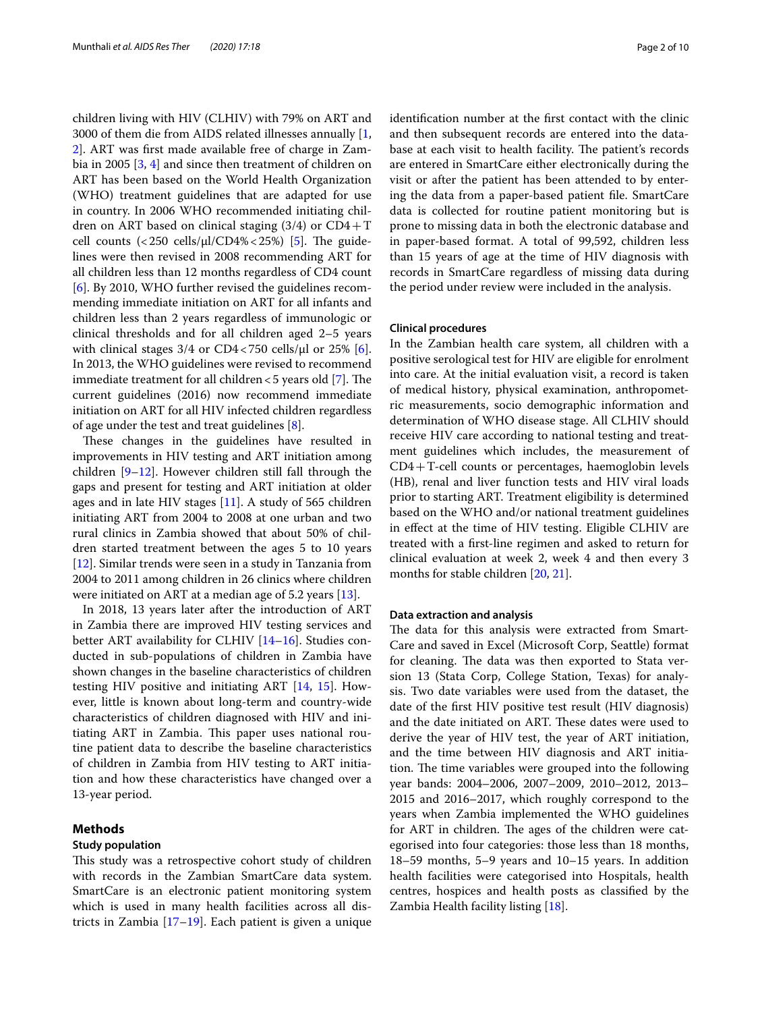children living with HIV (CLHIV) with 79% on ART and 3000 of them die from AIDS related illnesses annually [\[1](#page-9-0), [2\]](#page-9-1). ART was frst made available free of charge in Zambia in 2005 [[3](#page-9-2), [4](#page-9-3)] and since then treatment of children on ART has been based on the World Health Organization (WHO) treatment guidelines that are adapted for use in country. In 2006 WHO recommended initiating children on ART based on clinical staging  $(3/4)$  or  $CD4+T$ cell counts  $\langle$  < 250 cells/ $\mu$ l/CD4% < 25%) [[5\]](#page-9-4). The guidelines were then revised in 2008 recommending ART for all children less than 12 months regardless of CD4 count [[6\]](#page-9-5). By 2010, WHO further revised the guidelines recommending immediate initiation on ART for all infants and children less than 2 years regardless of immunologic or clinical thresholds and for all children aged 2–5 years with clinical stages  $3/4$  or CD4<750 cells/ $\mu$ l or 25% [\[6](#page-9-5)]. In 2013, the WHO guidelines were revised to recommend immediate treatment for all children $<$ 5 years old [\[7](#page-9-6)]. The current guidelines (2016) now recommend immediate initiation on ART for all HIV infected children regardless of age under the test and treat guidelines [[8\]](#page-9-7).

These changes in the guidelines have resulted in improvements in HIV testing and ART initiation among children [[9](#page-9-8)[–12](#page-9-9)]. However children still fall through the gaps and present for testing and ART initiation at older ages and in late HIV stages [\[11\]](#page-9-10). A study of 565 children initiating ART from 2004 to 2008 at one urban and two rural clinics in Zambia showed that about 50% of children started treatment between the ages 5 to 10 years [[12\]](#page-9-9). Similar trends were seen in a study in Tanzania from 2004 to 2011 among children in 26 clinics where children were initiated on ART at a median age of 5.2 years [\[13](#page-9-11)].

In 2018, 13 years later after the introduction of ART in Zambia there are improved HIV testing services and better ART availability for CLHIV [\[14–](#page-9-12)[16\]](#page-9-13). Studies conducted in sub-populations of children in Zambia have shown changes in the baseline characteristics of children testing HIV positive and initiating ART [\[14](#page-9-12), [15\]](#page-9-14). However, little is known about long-term and country-wide characteristics of children diagnosed with HIV and initiating ART in Zambia. This paper uses national routine patient data to describe the baseline characteristics of children in Zambia from HIV testing to ART initiation and how these characteristics have changed over a 13-year period.

## **Methods**

## **Study population**

This study was a retrospective cohort study of children with records in the Zambian SmartCare data system. SmartCare is an electronic patient monitoring system which is used in many health facilities across all districts in Zambia  $[17-19]$  $[17-19]$ . Each patient is given a unique identifcation number at the frst contact with the clinic and then subsequent records are entered into the database at each visit to health facility. The patient's records are entered in SmartCare either electronically during the visit or after the patient has been attended to by entering the data from a paper-based patient fle. SmartCare data is collected for routine patient monitoring but is prone to missing data in both the electronic database and in paper-based format. A total of 99,592, children less than 15 years of age at the time of HIV diagnosis with records in SmartCare regardless of missing data during the period under review were included in the analysis.

### **Clinical procedures**

In the Zambian health care system, all children with a positive serological test for HIV are eligible for enrolment into care. At the initial evaluation visit, a record is taken of medical history, physical examination, anthropometric measurements, socio demographic information and determination of WHO disease stage. All CLHIV should receive HIV care according to national testing and treatment guidelines which includes, the measurement of CD4+T-cell counts or percentages, haemoglobin levels (HB), renal and liver function tests and HIV viral loads prior to starting ART. Treatment eligibility is determined based on the WHO and/or national treatment guidelines in efect at the time of HIV testing. Eligible CLHIV are treated with a frst-line regimen and asked to return for clinical evaluation at week 2, week 4 and then every 3 months for stable children [[20](#page-9-17), [21\]](#page-9-18).

#### **Data extraction and analysis**

The data for this analysis were extracted from Smart-Care and saved in Excel (Microsoft Corp, Seattle) format for cleaning. The data was then exported to Stata version 13 (Stata Corp, College Station, Texas) for analysis. Two date variables were used from the dataset, the date of the frst HIV positive test result (HIV diagnosis) and the date initiated on ART. These dates were used to derive the year of HIV test, the year of ART initiation, and the time between HIV diagnosis and ART initiation. The time variables were grouped into the following year bands: 2004–2006, 2007–2009, 2010–2012, 2013– 2015 and 2016–2017, which roughly correspond to the years when Zambia implemented the WHO guidelines for ART in children. The ages of the children were categorised into four categories: those less than 18 months, 18–59 months, 5–9 years and 10–15 years. In addition health facilities were categorised into Hospitals, health centres, hospices and health posts as classifed by the Zambia Health facility listing [[18\]](#page-9-19).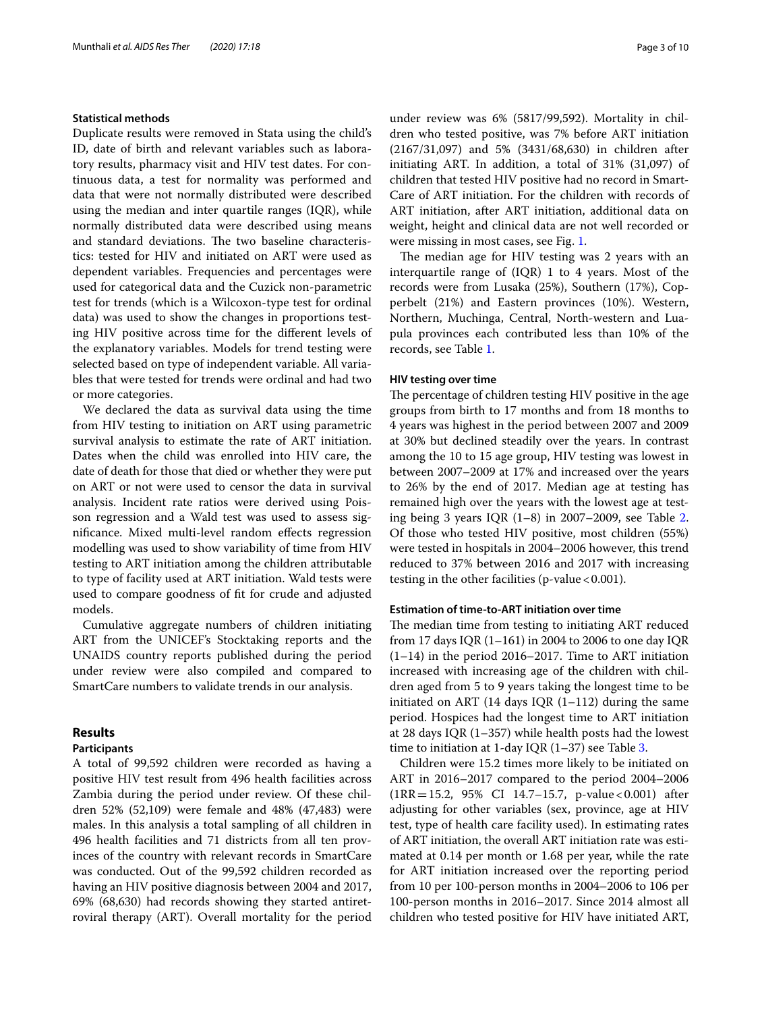## **Statistical methods**

Duplicate results were removed in Stata using the child's ID, date of birth and relevant variables such as laboratory results, pharmacy visit and HIV test dates. For continuous data, a test for normality was performed and data that were not normally distributed were described using the median and inter quartile ranges (IQR), while normally distributed data were described using means and standard deviations. The two baseline characteristics: tested for HIV and initiated on ART were used as dependent variables. Frequencies and percentages were used for categorical data and the Cuzick non-parametric test for trends (which is a Wilcoxon-type test for ordinal data) was used to show the changes in proportions testing HIV positive across time for the diferent levels of the explanatory variables. Models for trend testing were selected based on type of independent variable. All variables that were tested for trends were ordinal and had two or more categories.

We declared the data as survival data using the time from HIV testing to initiation on ART using parametric survival analysis to estimate the rate of ART initiation. Dates when the child was enrolled into HIV care, the date of death for those that died or whether they were put on ART or not were used to censor the data in survival analysis. Incident rate ratios were derived using Poisson regression and a Wald test was used to assess signifcance. Mixed multi-level random efects regression modelling was used to show variability of time from HIV testing to ART initiation among the children attributable to type of facility used at ART initiation. Wald tests were used to compare goodness of ft for crude and adjusted models.

Cumulative aggregate numbers of children initiating ART from the UNICEF's Stocktaking reports and the UNAIDS country reports published during the period under review were also compiled and compared to SmartCare numbers to validate trends in our analysis.

## **Results**

## **Participants**

A total of 99,592 children were recorded as having a positive HIV test result from 496 health facilities across Zambia during the period under review. Of these children 52% (52,109) were female and 48% (47,483) were males. In this analysis a total sampling of all children in 496 health facilities and 71 districts from all ten provinces of the country with relevant records in SmartCare was conducted. Out of the 99,592 children recorded as having an HIV positive diagnosis between 2004 and 2017, 69% (68,630) had records showing they started antiretroviral therapy (ART). Overall mortality for the period under review was 6% (5817/99,592). Mortality in children who tested positive, was 7% before ART initiation (2167/31,097) and 5% (3431/68,630) in children after initiating ART. In addition, a total of 31% (31,097) of children that tested HIV positive had no record in Smart-Care of ART initiation. For the children with records of ART initiation, after ART initiation, additional data on weight, height and clinical data are not well recorded or were missing in most cases, see Fig. [1.](#page-3-0)

The median age for HIV testing was 2 years with an interquartile range of (IQR) 1 to 4 years. Most of the records were from Lusaka (25%), Southern (17%), Copperbelt (21%) and Eastern provinces (10%). Western, Northern, Muchinga, Central, North-western and Luapula provinces each contributed less than 10% of the records, see Table [1.](#page-3-1)

#### **HIV testing over time**

The percentage of children testing HIV positive in the age groups from birth to 17 months and from 18 months to 4 years was highest in the period between 2007 and 2009 at 30% but declined steadily over the years. In contrast among the 10 to 15 age group, HIV testing was lowest in between 2007–2009 at 17% and increased over the years to 26% by the end of 2017. Median age at testing has remained high over the years with the lowest age at testing being 3 years IQR (1–8) in 2007–2009, see Table [2](#page-4-0). Of those who tested HIV positive, most children (55%) were tested in hospitals in 2004–2006 however, this trend reduced to 37% between 2016 and 2017 with increasing testing in the other facilities ( $p$ -value < 0.001).

#### **Estimation of time‑to‑ART initiation over time**

The median time from testing to initiating ART reduced from 17 days IQR (1–161) in 2004 to 2006 to one day IQR (1–14) in the period 2016–2017. Time to ART initiation increased with increasing age of the children with children aged from 5 to 9 years taking the longest time to be initiated on ART (14 days IQR (1–112) during the same period. Hospices had the longest time to ART initiation at 28 days IQR (1–357) while health posts had the lowest time to initiation at 1-day IQR  $(1-37)$  see Table [3](#page-5-0).

Children were 15.2 times more likely to be initiated on ART in 2016–2017 compared to the period 2004–2006 (1RR=15.2, 95% CI 14.7–15.7, p-value<0.001) after adjusting for other variables (sex, province, age at HIV test, type of health care facility used). In estimating rates of ART initiation, the overall ART initiation rate was estimated at 0.14 per month or 1.68 per year, while the rate for ART initiation increased over the reporting period from 10 per 100-person months in 2004–2006 to 106 per 100-person months in 2016–2017. Since 2014 almost all children who tested positive for HIV have initiated ART,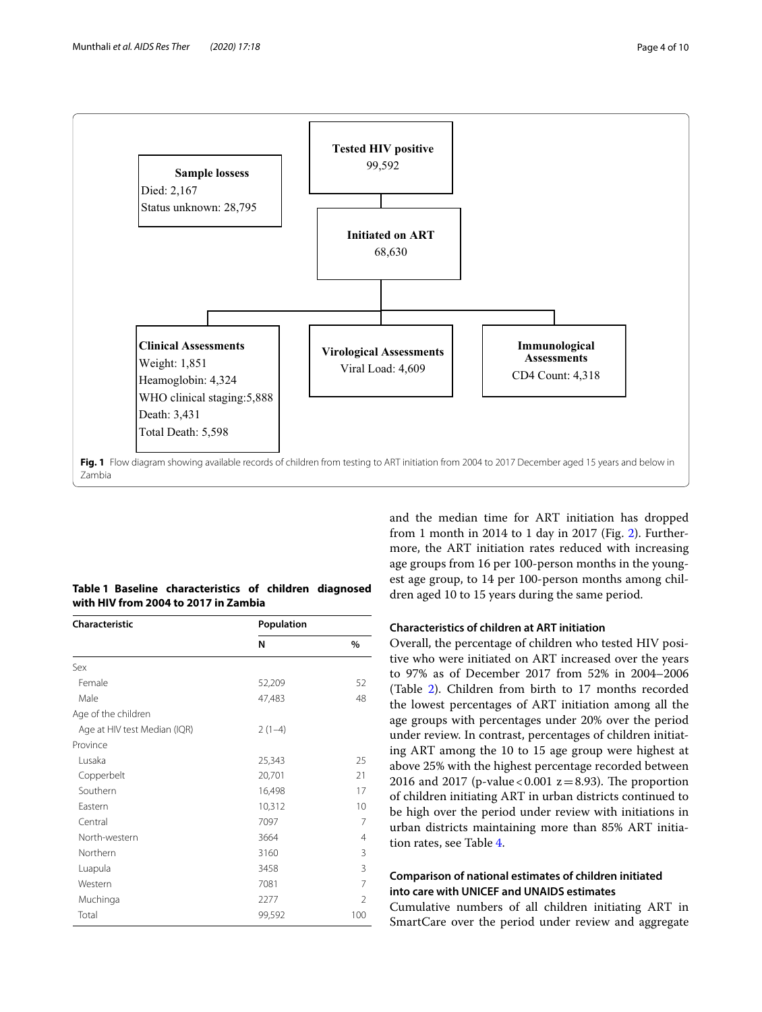

## <span id="page-3-1"></span><span id="page-3-0"></span>**Table 1 Baseline characteristics of children diagnosed with HIV from 2004 to 2017 in Zambia**

| Characteristic               | Population |                |  |
|------------------------------|------------|----------------|--|
|                              | N          | %              |  |
| Sex                          |            |                |  |
| Female                       | 52,209     | 52             |  |
| Male                         | 47,483     | 48             |  |
| Age of the children          |            |                |  |
| Age at HIV test Median (IQR) | $2(1-4)$   |                |  |
| Province                     |            |                |  |
| Lusaka                       | 25,343     | 25             |  |
| Copperbelt                   | 20,701     | 21             |  |
| Southern                     | 16,498     | 17             |  |
| Eastern                      | 10,312     | 10             |  |
| Central                      | 7097       | 7              |  |
| North-western                | 3664       | 4              |  |
| Northern                     | 3160       | 3              |  |
| Luapula                      | 3458       | 3              |  |
| Western                      | 7081       | 7              |  |
| Muchinga                     | 2277       | $\mathfrak{D}$ |  |
| Total                        | 99,592     | 100            |  |

and the median time for ART initiation has dropped from 1 month in 2014 to 1 day in 2017 (Fig. [2\)](#page-6-0). Furthermore, the ART initiation rates reduced with increasing age groups from 16 per 100-person months in the youngest age group, to 14 per 100-person months among children aged 10 to 15 years during the same period.

## **Characteristics of children at ART initiation**

Overall, the percentage of children who tested HIV positive who were initiated on ART increased over the years to 97% as of December 2017 from 52% in 2004–2006 (Table [2\)](#page-4-0). Children from birth to 17 months recorded the lowest percentages of ART initiation among all the age groups with percentages under 20% over the period under review. In contrast, percentages of children initiating ART among the 10 to 15 age group were highest at above 25% with the highest percentage recorded between 2016 and 2017 (p-value < 0.001  $z = 8.93$ ). The proportion of children initiating ART in urban districts continued to be high over the period under review with initiations in urban districts maintaining more than 85% ART initiation rates, see Table [4.](#page-7-0)

## **Comparison of national estimates of children initiated into care with UNICEF and UNAIDS estimates**

Cumulative numbers of all children initiating ART in SmartCare over the period under review and aggregate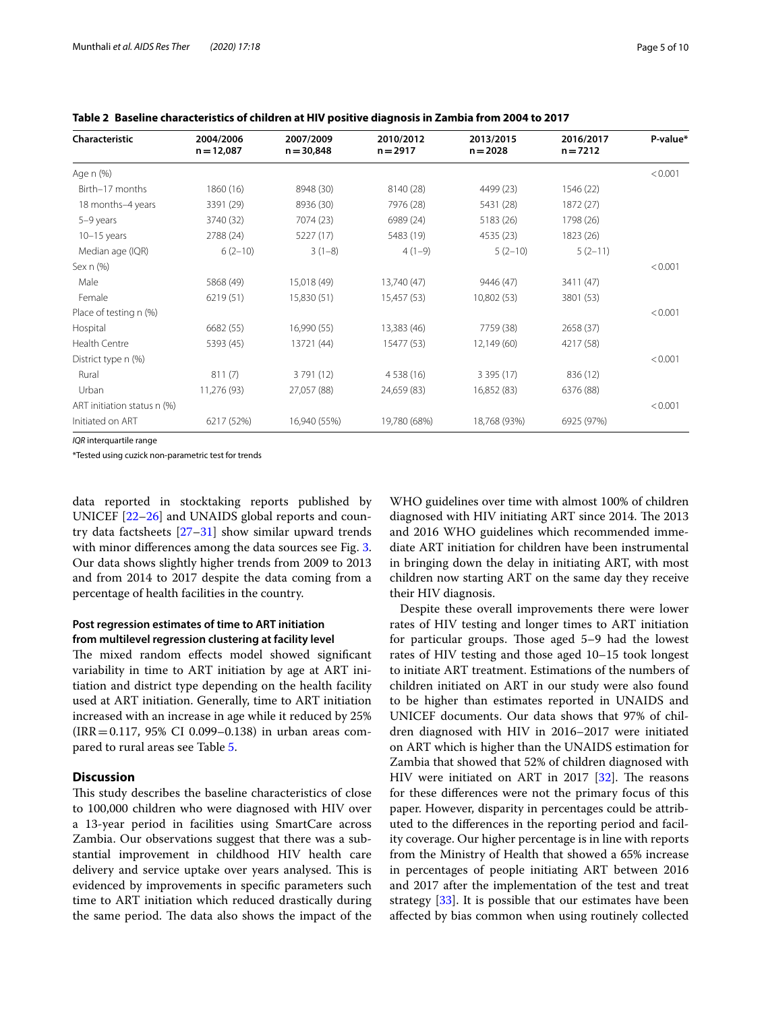<span id="page-4-0"></span>

| Characteristic              | 2004/2006<br>$n = 12,087$ | 2007/2009<br>$n = 30,848$ | 2010/2012<br>$n = 2917$ | 2013/2015<br>$n = 2028$ | 2016/2017<br>$n = 7212$ | P-value* |
|-----------------------------|---------------------------|---------------------------|-------------------------|-------------------------|-------------------------|----------|
| Age n (%)                   |                           |                           |                         |                         |                         | < 0.001  |
| Birth-17 months             | 1860 (16)                 | 8948 (30)                 | 8140 (28)               | 4499 (23)               | 1546 (22)               |          |
| 18 months-4 years           | 3391 (29)                 | 8936 (30)                 | 7976 (28)               | 5431 (28)               | 1872 (27)               |          |
| 5-9 years                   | 3740 (32)                 | 7074 (23)                 | 6989 (24)               | 5183 (26)               | 1798 (26)               |          |
| $10-15$ years               | 2788 (24)                 | 5227 (17)                 | 5483 (19)               | 4535 (23)               | 1823 (26)               |          |
| Median age (IQR)            | $6(2-10)$                 | $3(1-8)$                  | $4(1-9)$                | $5(2-10)$               | $5(2-11)$               |          |
| Sex n (%)                   |                           |                           |                         |                         |                         | < 0.001  |
| Male                        | 5868 (49)                 | 15,018 (49)               | 13,740 (47)             | 9446 (47)               | 3411 (47)               |          |
| Female                      | 6219 (51)                 | 15,830 (51)               | 15,457 (53)             | 10,802 (53)             | 3801 (53)               |          |
| Place of testing n (%)      |                           |                           |                         |                         |                         | < 0.001  |
| Hospital                    | 6682 (55)                 | 16,990 (55)               | 13,383 (46)             | 7759 (38)               | 2658 (37)               |          |
| Health Centre               | 5393 (45)                 | 13721 (44)                | 15477 (53)              | 12,149 (60)             | 4217 (58)               |          |
| District type n (%)         |                           |                           |                         |                         |                         | < 0.001  |
| Rural                       | 811(7)                    | 3 791 (12)                | 4 5 3 8 (16)            | 3 3 9 5 (17)            | 836 (12)                |          |
| Urban                       | 11,276 (93)               | 27,057 (88)               | 24,659 (83)             | 16,852 (83)             | 6376 (88)               |          |
| ART initiation status n (%) |                           |                           |                         |                         |                         | < 0.001  |
| Initiated on ART            | 6217 (52%)                | 16,940 (55%)              | 19,780 (68%)            | 18,768 (93%)            | 6925 (97%)              |          |

*IQR* interquartile range

\*Tested using cuzick non-parametric test for trends

data reported in stocktaking reports published by UNICEF [[22](#page-9-20)[–26](#page-9-21)] and UNAIDS global reports and country data factsheets [[27–](#page-9-22)[31](#page-9-23)] show similar upward trends with minor differences among the data sources see Fig. [3](#page-7-1). Our data shows slightly higher trends from 2009 to 2013 and from 2014 to 2017 despite the data coming from a percentage of health facilities in the country.

## **Post regression estimates of time to ART initiation from multilevel regression clustering at facility level**

The mixed random effects model showed significant variability in time to ART initiation by age at ART initiation and district type depending on the health facility used at ART initiation. Generally, time to ART initiation increased with an increase in age while it reduced by 25% (IRR=0.117, 95% CI 0.099–0.138) in urban areas compared to rural areas see Table [5](#page-8-0).

## **Discussion**

This study describes the baseline characteristics of close to 100,000 children who were diagnosed with HIV over a 13-year period in facilities using SmartCare across Zambia. Our observations suggest that there was a substantial improvement in childhood HIV health care delivery and service uptake over years analysed. This is evidenced by improvements in specifc parameters such time to ART initiation which reduced drastically during the same period. The data also shows the impact of the

WHO guidelines over time with almost 100% of children diagnosed with HIV initiating ART since 2014. The 2013 and 2016 WHO guidelines which recommended immediate ART initiation for children have been instrumental in bringing down the delay in initiating ART, with most children now starting ART on the same day they receive their HIV diagnosis.

Despite these overall improvements there were lower rates of HIV testing and longer times to ART initiation for particular groups. Those aged 5–9 had the lowest rates of HIV testing and those aged 10–15 took longest to initiate ART treatment. Estimations of the numbers of children initiated on ART in our study were also found to be higher than estimates reported in UNAIDS and UNICEF documents. Our data shows that 97% of children diagnosed with HIV in 2016–2017 were initiated on ART which is higher than the UNAIDS estimation for Zambia that showed that 52% of children diagnosed with HIV were initiated on ART in 2017  $[32]$ . The reasons for these diferences were not the primary focus of this paper. However, disparity in percentages could be attributed to the diferences in the reporting period and facility coverage. Our higher percentage is in line with reports from the Ministry of Health that showed a 65% increase in percentages of people initiating ART between 2016 and 2017 after the implementation of the test and treat strategy [[33](#page-9-25)]. It is possible that our estimates have been afected by bias common when using routinely collected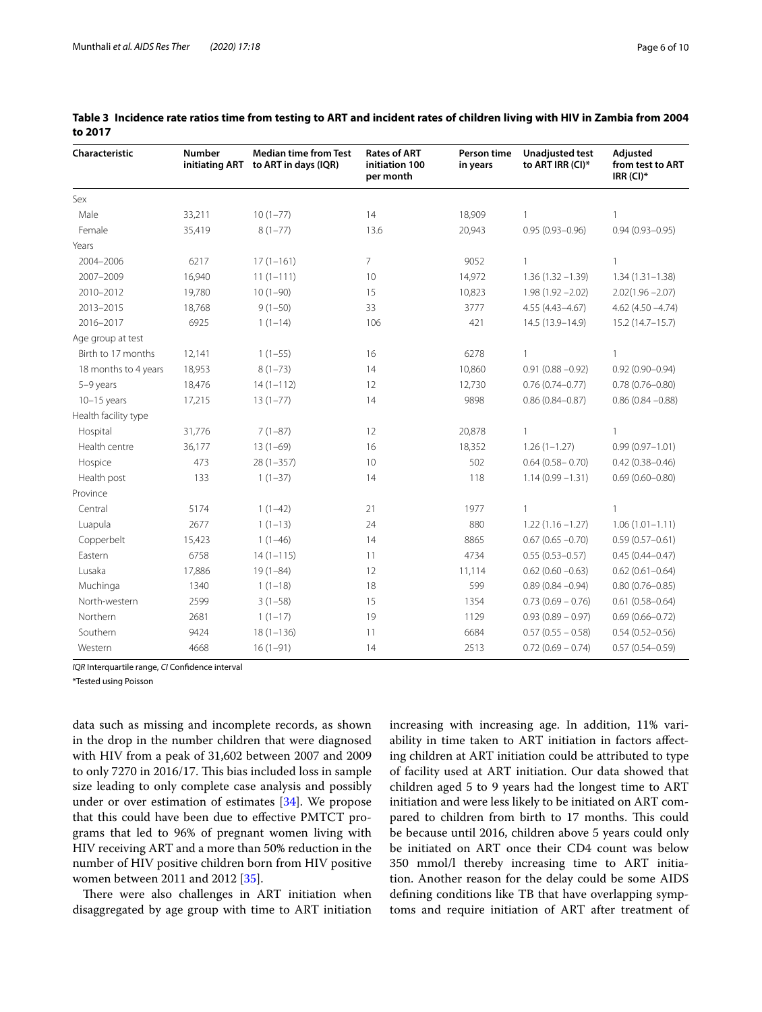| Characteristic       | <b>Number</b><br>initiating ART | <b>Median time from Test</b><br>to ART in days (IQR) | <b>Rates of ART</b><br>initiation 100<br>per month | Person time<br>in years | <b>Unadjusted test</b><br>to ART IRR (CI)* | Adjusted<br>from test to ART<br>IRR $(Cl)*$ |
|----------------------|---------------------------------|------------------------------------------------------|----------------------------------------------------|-------------------------|--------------------------------------------|---------------------------------------------|
| Sex                  |                                 |                                                      |                                                    |                         |                                            |                                             |
| Male                 | 33,211                          | $10(1-77)$                                           | 14                                                 | 18,909                  | 1                                          | 1                                           |
| Female               | 35,419                          | $8(1-77)$                                            | 13.6                                               | 20,943                  | $0.95(0.93 - 0.96)$                        | $0.94(0.93 - 0.95)$                         |
| Years                |                                 |                                                      |                                                    |                         |                                            |                                             |
| 2004-2006            | 6217                            | $17(1 - 161)$                                        | $\overline{7}$                                     | 9052                    | $\mathbf{1}$                               | $\mathbf{1}$                                |
| 2007-2009            | 16,940                          | $11(1-111)$                                          | 10                                                 | 14,972                  | $1.36(1.32 - 1.39)$                        | $1.34(1.31 - 1.38)$                         |
| 2010-2012            | 19,780                          | $10(1-90)$                                           | 15                                                 | 10,823                  | $1.98(1.92 - 2.02)$                        | $2.02(1.96 - 2.07)$                         |
| 2013-2015            | 18,768                          | $9(1-50)$                                            | 33                                                 | 3777                    | 4.55 (4.43-4.67)                           | $4.62(4.50 - 4.74)$                         |
| 2016-2017            | 6925                            | $1(1-14)$                                            | 106                                                | 421                     | 14.5 (13.9-14.9)                           | $15.2(14.7 - 15.7)$                         |
| Age group at test    |                                 |                                                      |                                                    |                         |                                            |                                             |
| Birth to 17 months   | 12,141                          | $1(1-55)$                                            | 16                                                 | 6278                    | $\mathbf{1}$                               | $\mathbf{1}$                                |
| 18 months to 4 years | 18,953                          | $8(1-73)$                                            | 14                                                 | 10,860                  | $0.91(0.88 - 0.92)$                        | $0.92(0.90 - 0.94)$                         |
| 5-9 years            | 18,476                          | $14(1-112)$                                          | 12                                                 | 12,730                  | $0.76(0.74 - 0.77)$                        | $0.78(0.76 - 0.80)$                         |
| $10-15$ years        | 17,215                          | $13(1 - 77)$                                         | 14                                                 | 9898                    | $0.86(0.84 - 0.87)$                        | $0.86(0.84 - 0.88)$                         |
| Health facility type |                                 |                                                      |                                                    |                         |                                            |                                             |
| Hospital             | 31,776                          | $7(1-87)$                                            | 12                                                 | 20,878                  | 1                                          | 1                                           |
| Health centre        | 36,177                          | $13(1-69)$                                           | 16                                                 | 18,352                  | $1.26(1-1.27)$                             | $0.99(0.97 - 1.01)$                         |
| Hospice              | 473                             | $28(1-357)$                                          | 10                                                 | 502                     | $0.64(0.58 - 0.70)$                        | $0.42(0.38 - 0.46)$                         |
| Health post          | 133                             | $1(1-37)$                                            | 14                                                 | 118                     | $1.14(0.99 - 1.31)$                        | $0.69(0.60 - 0.80)$                         |
| Province             |                                 |                                                      |                                                    |                         |                                            |                                             |
| Central              | 5174                            | $1(1-42)$                                            | 21                                                 | 1977                    |                                            | $\mathbf{1}$                                |
| Luapula              | 2677                            | $1(1-13)$                                            | 24                                                 | 880                     | $1.22(1.16 - 1.27)$                        | $1.06(1.01 - 1.11)$                         |
| Copperbelt           | 15,423                          | $1(1-46)$                                            | 14                                                 | 8865                    | $0.67(0.65 - 0.70)$                        | $0.59(0.57 - 0.61)$                         |
| Eastern              | 6758                            | $14(1-115)$                                          | 11                                                 | 4734                    | $0.55(0.53 - 0.57)$                        | $0.45(0.44 - 0.47)$                         |
| Lusaka               | 17,886                          | $19(1 - 84)$                                         | 12                                                 | 11,114                  | $0.62(0.60 - 0.63)$                        | $0.62(0.61 - 0.64)$                         |
| Muchinga             | 1340                            | $1(1-18)$                                            | 18                                                 | 599                     | $0.89(0.84 - 0.94)$                        | $0.80(0.76 - 0.85)$                         |
| North-western        | 2599                            | $3(1-58)$                                            | 15                                                 | 1354                    | $0.73(0.69 - 0.76)$                        | $0.61(0.58 - 0.64)$                         |
| Northern             | 2681                            | $1(1-17)$                                            | 19                                                 | 1129                    | $0.93(0.89 - 0.97)$                        | $0.69(0.66 - 0.72)$                         |
| Southern             | 9424                            | $18(1-136)$                                          | 11                                                 | 6684                    | $0.57(0.55 - 0.58)$                        | $0.54(0.52 - 0.56)$                         |
| Western              | 4668                            | $16(1-91)$                                           | 14                                                 | 2513                    | $0.72(0.69 - 0.74)$                        | $0.57(0.54 - 0.59)$                         |

<span id="page-5-0"></span>

|         | Table 3 Incidence rate ratios time from testing to ART and incident rates of children living with HIV in Zambia from 2004 |  |  |
|---------|---------------------------------------------------------------------------------------------------------------------------|--|--|
| to 2017 |                                                                                                                           |  |  |

*IQR* Interquartile range, *CI* Confdence interval

\*Tested using Poisson

data such as missing and incomplete records, as shown in the drop in the number children that were diagnosed with HIV from a peak of 31,602 between 2007 and 2009 to only 7270 in 2016/17. This bias included loss in sample size leading to only complete case analysis and possibly under or over estimation of estimates [[34](#page-9-26)]. We propose that this could have been due to efective PMTCT programs that led to 96% of pregnant women living with HIV receiving ART and a more than 50% reduction in the number of HIV positive children born from HIV positive women between 2011 and 2012 [[35](#page-9-27)].

There were also challenges in ART initiation when disaggregated by age group with time to ART initiation increasing with increasing age. In addition, 11% variability in time taken to ART initiation in factors afecting children at ART initiation could be attributed to type of facility used at ART initiation. Our data showed that children aged 5 to 9 years had the longest time to ART initiation and were less likely to be initiated on ART compared to children from birth to 17 months. This could be because until 2016, children above 5 years could only be initiated on ART once their CD4 count was below 350 mmol/l thereby increasing time to ART initiation. Another reason for the delay could be some AIDS defning conditions like TB that have overlapping symptoms and require initiation of ART after treatment of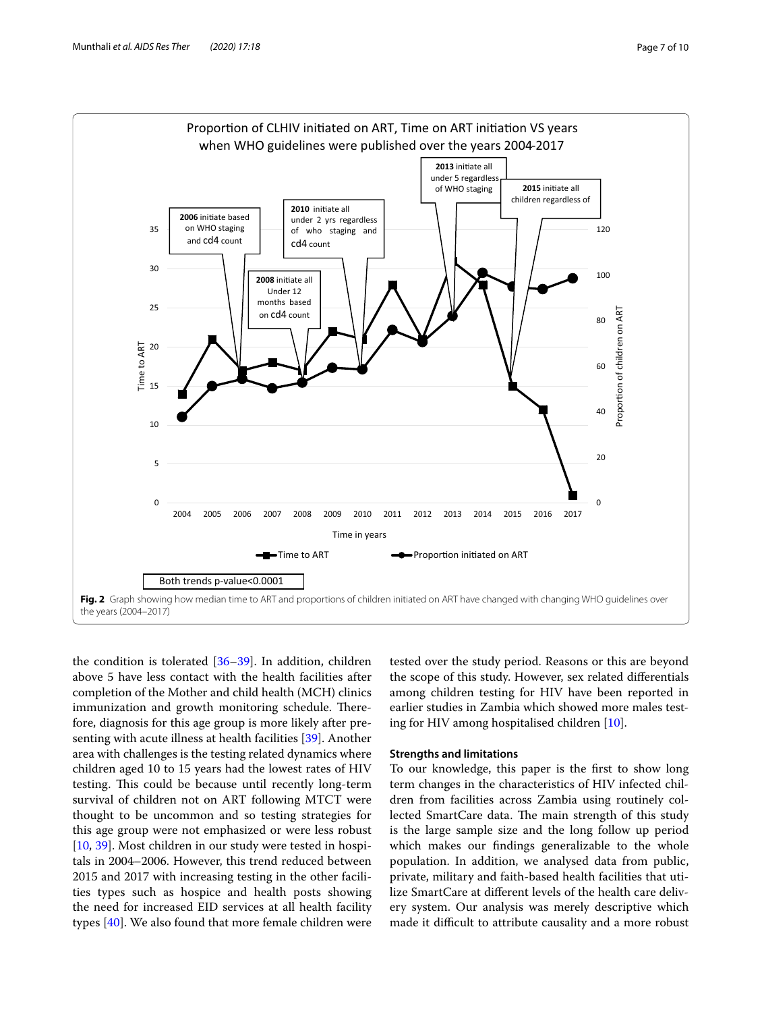

<span id="page-6-0"></span>the condition is tolerated [[36](#page-9-28)[–39](#page-9-29)]. In addition, children above 5 have less contact with the health facilities after completion of the Mother and child health (MCH) clinics immunization and growth monitoring schedule. Therefore, diagnosis for this age group is more likely after presenting with acute illness at health facilities [[39](#page-9-29)]. Another area with challenges is the testing related dynamics where children aged 10 to 15 years had the lowest rates of HIV testing. This could be because until recently long-term survival of children not on ART following MTCT were thought to be uncommon and so testing strategies for this age group were not emphasized or were less robust [[10,](#page-9-30) [39](#page-9-29)]. Most children in our study were tested in hospitals in 2004–2006. However, this trend reduced between 2015 and 2017 with increasing testing in the other facilities types such as hospice and health posts showing the need for increased EID services at all health facility types [[40\]](#page-9-31). We also found that more female children were

tested over the study period. Reasons or this are beyond the scope of this study. However, sex related diferentials among children testing for HIV have been reported in earlier studies in Zambia which showed more males testing for HIV among hospitalised children [\[10\]](#page-9-30).

#### **Strengths and limitations**

To our knowledge, this paper is the frst to show long term changes in the characteristics of HIV infected children from facilities across Zambia using routinely collected SmartCare data. The main strength of this study is the large sample size and the long follow up period which makes our fndings generalizable to the whole population. In addition, we analysed data from public, private, military and faith-based health facilities that utilize SmartCare at diferent levels of the health care delivery system. Our analysis was merely descriptive which made it difficult to attribute causality and a more robust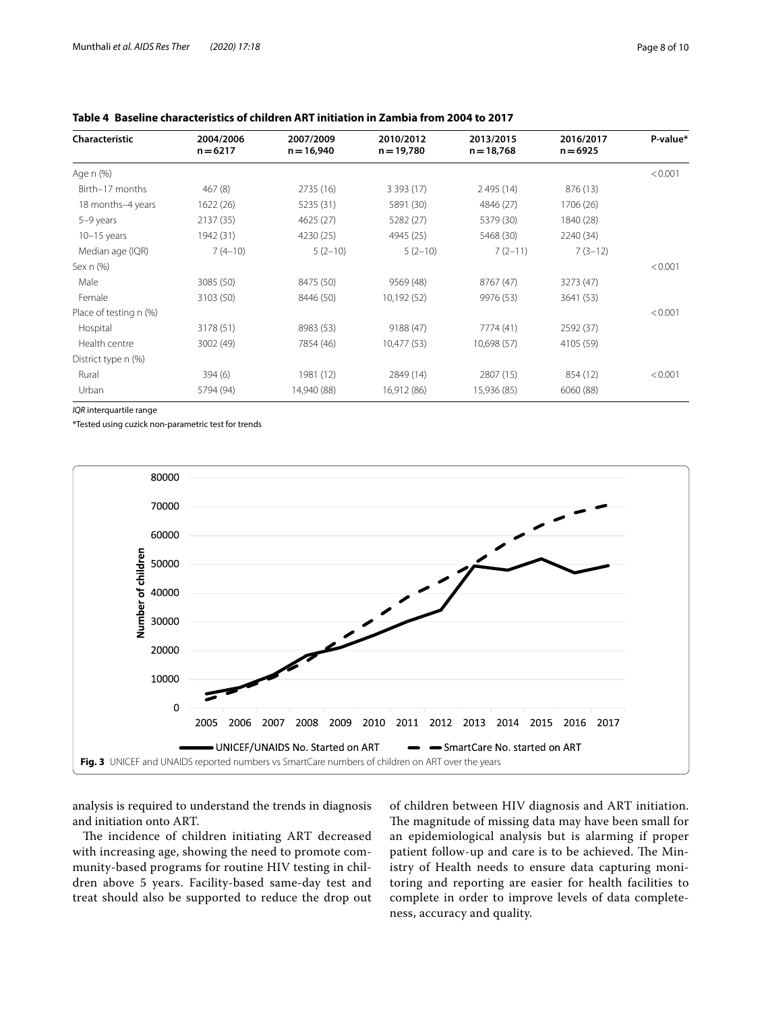| Characteristic         | 2004/2006<br>$n = 6217$ | 2007/2009<br>$n = 16,940$ | 2010/2012<br>$n = 19,780$ | 2013/2015<br>$n = 18,768$ | 2016/2017<br>$n = 6925$ | P-value* |
|------------------------|-------------------------|---------------------------|---------------------------|---------------------------|-------------------------|----------|
| Age n (%)              |                         |                           |                           |                           |                         | < 0.001  |
| Birth-17 months        | 467(8)                  | 2735 (16)                 | 3 3 9 3 (17)              | 2 495 (14)                | 876 (13)                |          |
| 18 months-4 years      | 1622 (26)               | 5235 (31)                 | 5891 (30)                 | 4846 (27)                 | 1706 (26)               |          |
| 5-9 years              | 2137 (35)               | 4625 (27)                 | 5282 (27)                 | 5379 (30)                 | 1840 (28)               |          |
| $10-15$ years          | 1942 (31)               | 4230 (25)                 | 4945 (25)                 | 5468 (30)                 | 2240 (34)               |          |
| Median age (IQR)       | $7(4-10)$               | $5(2-10)$                 | $5(2-10)$                 | $7(2-11)$                 | $7(3-12)$               |          |
| Sex n (%)              |                         |                           |                           |                           |                         | < 0.001  |
| Male                   | 3085 (50)               | 8475 (50)                 | 9569 (48)                 | 8767 (47)                 | 3273 (47)               |          |
| Female                 | 3103 (50)               | 8446 (50)                 | 10,192 (52)               | 9976 (53)                 | 3641 (53)               |          |
| Place of testing n (%) |                         |                           |                           |                           |                         | < 0.001  |
| Hospital               | 3178 (51)               | 8983 (53)                 | 9188 (47)                 | 7774 (41)                 | 2592 (37)               |          |
| Health centre          | 3002 (49)               | 7854 (46)                 | 10,477 (53)               | 10,698 (57)               | 4105 (59)               |          |
| District type n (%)    |                         |                           |                           |                           |                         |          |
| Rural                  | 394(6)                  | 1981 (12)                 | 2849 (14)                 | 2807 (15)                 | 854 (12)                | < 0.001  |
| Urban                  | 5794 (94)               | 14,940 (88)               | 16,912 (86)               | 15,936 (85)               | 6060 (88)               |          |

<span id="page-7-0"></span>**Table 4 Baseline characteristics of children ART initiation in Zambia from 2004 to 2017**

*IQR* interquartile range

\*Tested using cuzick non-parametric test for trends



<span id="page-7-1"></span>analysis is required to understand the trends in diagnosis and initiation onto ART.

The incidence of children initiating ART decreased with increasing age, showing the need to promote community-based programs for routine HIV testing in children above 5 years. Facility-based same-day test and treat should also be supported to reduce the drop out of children between HIV diagnosis and ART initiation. The magnitude of missing data may have been small for an epidemiological analysis but is alarming if proper patient follow-up and care is to be achieved. The Ministry of Health needs to ensure data capturing monitoring and reporting are easier for health facilities to complete in order to improve levels of data completeness, accuracy and quality.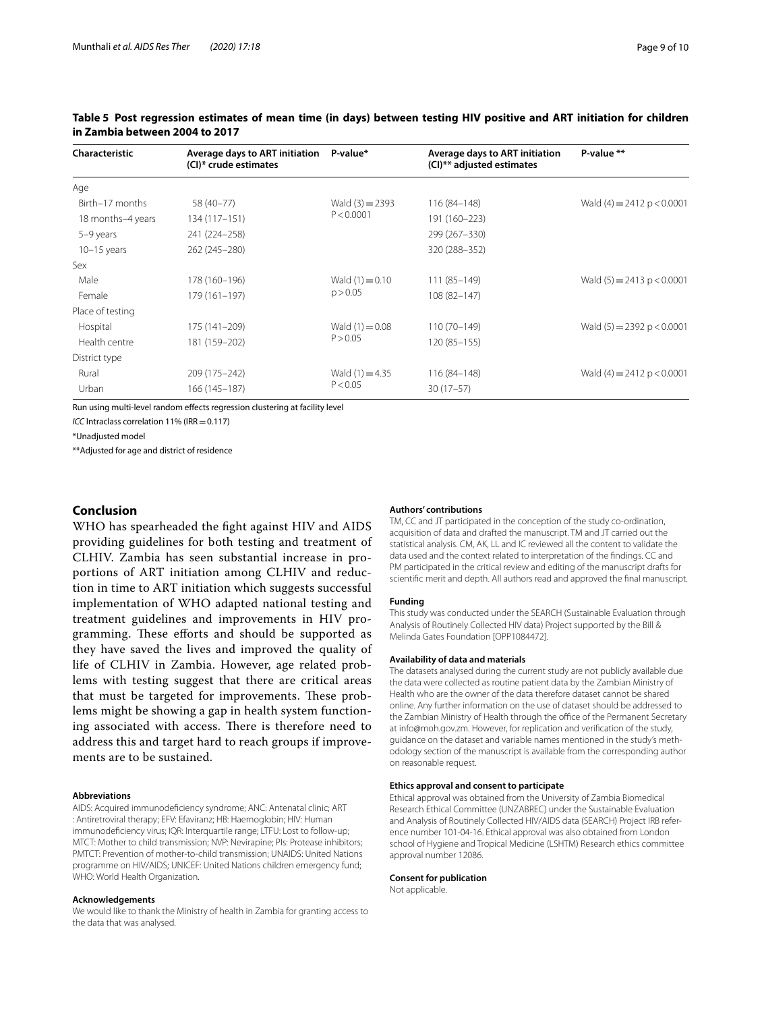| Characteristic    | Average days to ART initiation P-value*<br>(CI)* crude estimates |                               | Average days to ART initiation<br>(CI)** adjusted estimates | P-value $**$                 |  |
|-------------------|------------------------------------------------------------------|-------------------------------|-------------------------------------------------------------|------------------------------|--|
| Age               |                                                                  |                               |                                                             |                              |  |
| Birth-17 months   | 58 (40-77)                                                       | Wald $(3) = 2393$             | 116 (84-148)                                                | Wald $(4) = 2412 p < 0.0001$ |  |
| 18 months-4 years | 134 (117-151)                                                    | P < 0.0001                    | 191 (160-223)                                               |                              |  |
| 5-9 years         | 241 (224-258)                                                    |                               | 299 (267-330)                                               |                              |  |
| $10-15$ years     | 262 (245-280)                                                    |                               | 320 (288-352)                                               |                              |  |
| Sex               |                                                                  |                               |                                                             |                              |  |
| Male              | 178 (160-196)                                                    | Wald $(1) = 0.10$             | $111(85 - 149)$                                             | Wald $(5) = 2413$ p < 0.0001 |  |
| Female            | 179 (161-197)                                                    | p > 0.05                      | $108(82 - 147)$                                             |                              |  |
| Place of testing  |                                                                  |                               |                                                             |                              |  |
| Hospital          | 175 (141-209)                                                    | Wald $(1) = 0.08$             | $110(70-149)$                                               | Wald $(5) = 2392 p < 0.0001$ |  |
| Health centre     | 181 (159-202)                                                    | P > 0.05                      | $120(85 - 155)$                                             |                              |  |
| District type     |                                                                  |                               |                                                             |                              |  |
| Rural             | 209 (175 - 242)                                                  | Wald $(1) = 4.35$<br>P < 0.05 | 116 (84–148)                                                | Wald $(4) = 2412 p < 0.0001$ |  |
| Urban             | 166 (145-187)                                                    |                               | $30(17-57)$                                                 |                              |  |

## <span id="page-8-0"></span>**Table 5 Post regression estimates of mean time (in days) between testing HIV positive and ART initiation for children in Zambia between 2004 to 2017**

Run using multi-level random efects regression clustering at facility level

*ICC* Intraclass correlation 11% (IRR = 0.117)

\*Unadjusted model

\*\*Adjusted for age and district of residence

## **Conclusion**

WHO has spearheaded the fght against HIV and AIDS providing guidelines for both testing and treatment of CLHIV. Zambia has seen substantial increase in proportions of ART initiation among CLHIV and reduction in time to ART initiation which suggests successful implementation of WHO adapted national testing and treatment guidelines and improvements in HIV programming. These efforts and should be supported as they have saved the lives and improved the quality of life of CLHIV in Zambia. However, age related problems with testing suggest that there are critical areas that must be targeted for improvements. These problems might be showing a gap in health system functioning associated with access. There is therefore need to address this and target hard to reach groups if improvements are to be sustained.

#### **Abbreviations**

AIDS: Acquired immunodefciency syndrome; ANC: Antenatal clinic; ART : Antiretroviral therapy; EFV: Efaviranz; HB: Haemoglobin; HIV: Human immunodefciency virus; IQR: Interquartile range; LTFU: Lost to follow-up; MTCT: Mother to child transmission; NVP: Nevirapine; PIs: Protease inhibitors; PMTCT: Prevention of mother-to-child transmission; UNAIDS: United Nations programme on HIV/AIDS; UNICEF: United Nations children emergency fund; WHO: World Health Organization.

#### **Acknowledgements**

We would like to thank the Ministry of health in Zambia for granting access to the data that was analysed.

#### **Authors' contributions**

TM, CC and JT participated in the conception of the study co-ordination, acquisition of data and drafted the manuscript. TM and JT carried out the statistical analysis. CM, AK, LL and IC reviewed all the content to validate the data used and the context related to interpretation of the fndings. CC and PM participated in the critical review and editing of the manuscript drafts for scientifc merit and depth. All authors read and approved the fnal manuscript.

#### **Funding**

This study was conducted under the SEARCH (Sustainable Evaluation through Analysis of Routinely Collected HIV data) Project supported by the Bill & Melinda Gates Foundation [OPP1084472].

#### **Availability of data and materials**

The datasets analysed during the current study are not publicly available due the data were collected as routine patient data by the Zambian Ministry of Health who are the owner of the data therefore dataset cannot be shared online. Any further information on the use of dataset should be addressed to the Zambian Ministry of Health through the office of the Permanent Secretary at info@moh.gov.zm. However, for replication and verifcation of the study, guidance on the dataset and variable names mentioned in the study's methodology section of the manuscript is available from the corresponding author on reasonable request.

#### **Ethics approval and consent to participate**

Ethical approval was obtained from the University of Zambia Biomedical Research Ethical Committee (UNZABREC) under the Sustainable Evaluation and Analysis of Routinely Collected HIV/AIDS data (SEARCH) Project IRB reference number 101-04-16. Ethical approval was also obtained from London school of Hygiene and Tropical Medicine (LSHTM) Research ethics committee approval number 12086.

#### **Consent for publication**

Not applicable.